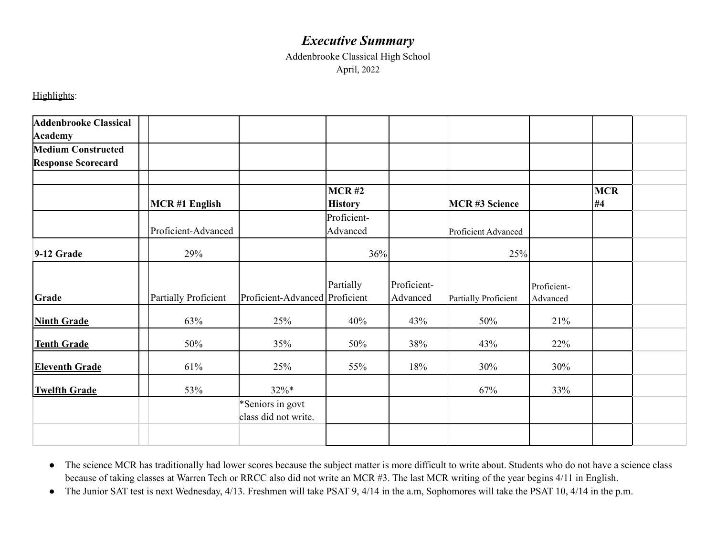## *Executive Summary*

Addenbrooke Classical High School April, 2022

Highlights:

| <b>Addenbrooke Classical</b><br><b>Academy</b>         |                      |                                          |                         |                         |                      |                         |                  |  |
|--------------------------------------------------------|----------------------|------------------------------------------|-------------------------|-------------------------|----------------------|-------------------------|------------------|--|
| <b>Medium Constructed</b><br><b>Response Scorecard</b> |                      |                                          |                         |                         |                      |                         |                  |  |
|                                                        | <b>MCR#1 English</b> |                                          | MCR#2<br><b>History</b> |                         | <b>MCR#3 Science</b> |                         | <b>MCR</b><br>#4 |  |
|                                                        | Proficient-Advanced  |                                          | Proficient-<br>Advanced |                         | Proficient Advanced  |                         |                  |  |
| 9-12 Grade                                             | 29%                  |                                          |                         | 36%                     | 25%                  |                         |                  |  |
| Grade                                                  | Partially Proficient | Proficient-Advanced Proficient           | Partially               | Proficient-<br>Advanced | Partially Proficient | Proficient-<br>Advanced |                  |  |
| <b>Ninth Grade</b>                                     | 63%                  | 25%                                      | 40%                     | 43%                     | 50%                  | 21%                     |                  |  |
| <b>Tenth Grade</b>                                     | 50%                  | 35%                                      | 50%                     | 38%                     | 43%                  | 22%                     |                  |  |
| <b>Eleventh Grade</b>                                  | 61%                  | 25%                                      | 55%                     | 18%                     | 30%                  | 30%                     |                  |  |
| <b>Twelfth Grade</b>                                   | 53%                  | $32\%*$                                  |                         |                         | 67%                  | 33%                     |                  |  |
|                                                        |                      | *Seniors in govt<br>class did not write. |                         |                         |                      |                         |                  |  |
|                                                        |                      |                                          |                         |                         |                      |                         |                  |  |

● The science MCR has traditionally had lower scores because the subject matter is more difficult to write about. Students who do not have a science class because of taking classes at Warren Tech or RRCC also did not write an MCR #3. The last MCR writing of the year begins 4/11 in English.

• The Junior SAT test is next Wednesday, 4/13. Freshmen will take PSAT 9, 4/14 in the a.m, Sophomores will take the PSAT 10, 4/14 in the p.m.